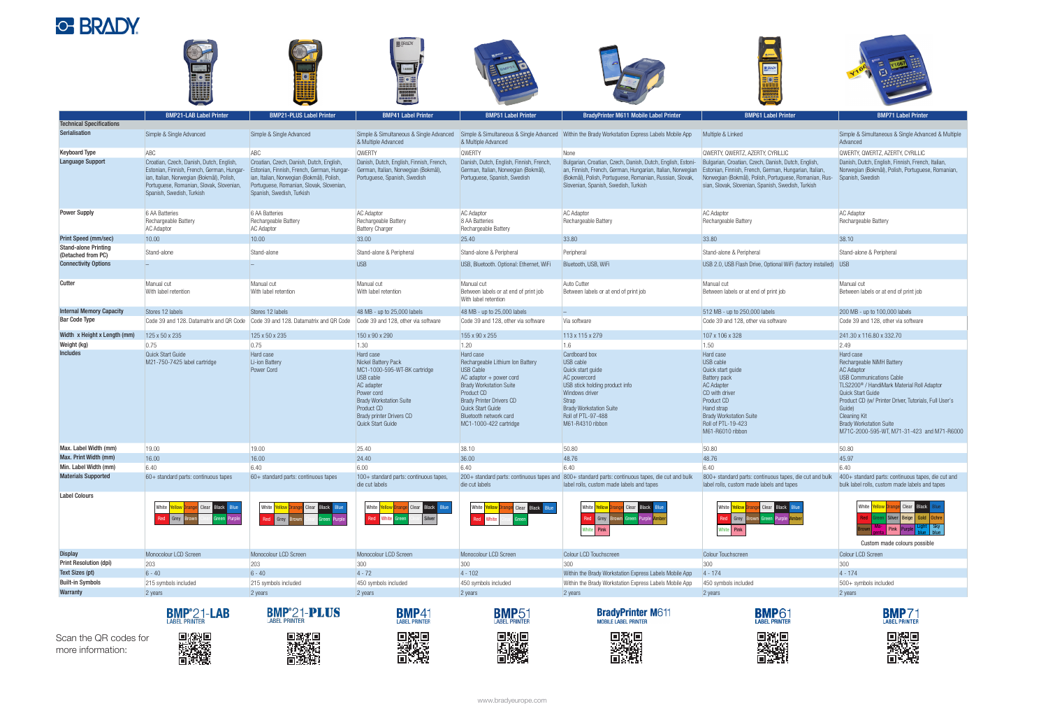



|                                                   | <b>BMP21-LAB Label Printer</b>                                                                                                                                                                               | <b>BMP21-PLUS Label Printer</b>                                                                                                                                                                              | <b>BMP41 Label Printer</b>                                                                                                                                                                                        | <b>BMP51 Label Printer</b>                                                                                                                                                                                                                                                 | <b>BradyPrinter M611 Mobile Label Printer</b>                                                                                                                                                                                                                                     | <b>BMP61 Label Printer</b>                                                                                                                                                                                               | <b>BMP71 Label Printer</b>                                                                                                                                                                                                                                                                                                                              |
|---------------------------------------------------|--------------------------------------------------------------------------------------------------------------------------------------------------------------------------------------------------------------|--------------------------------------------------------------------------------------------------------------------------------------------------------------------------------------------------------------|-------------------------------------------------------------------------------------------------------------------------------------------------------------------------------------------------------------------|----------------------------------------------------------------------------------------------------------------------------------------------------------------------------------------------------------------------------------------------------------------------------|-----------------------------------------------------------------------------------------------------------------------------------------------------------------------------------------------------------------------------------------------------------------------------------|--------------------------------------------------------------------------------------------------------------------------------------------------------------------------------------------------------------------------|---------------------------------------------------------------------------------------------------------------------------------------------------------------------------------------------------------------------------------------------------------------------------------------------------------------------------------------------------------|
| <b>Technical Specifications</b>                   |                                                                                                                                                                                                              |                                                                                                                                                                                                              |                                                                                                                                                                                                                   |                                                                                                                                                                                                                                                                            |                                                                                                                                                                                                                                                                                   |                                                                                                                                                                                                                          |                                                                                                                                                                                                                                                                                                                                                         |
| Serialisation                                     | Simple & Single Advanced                                                                                                                                                                                     | Simple & Single Advanced                                                                                                                                                                                     | & Multiple Advanced                                                                                                                                                                                               | & Multiple Advanced                                                                                                                                                                                                                                                        | Simple & Simultaneous & Single Advanced Simple & Simultaneous & Single Advanced Within the Brady Workstation Express Labels Mobile App                                                                                                                                            | Multiple & Linked                                                                                                                                                                                                        | Simple & Simultaneous & Single Advanced & Multiple<br>Advanced                                                                                                                                                                                                                                                                                          |
| <b>Keyboard Type</b>                              | ABC                                                                                                                                                                                                          | ABC                                                                                                                                                                                                          | <b>QWERTY</b>                                                                                                                                                                                                     | <b>QWERTY</b>                                                                                                                                                                                                                                                              | None                                                                                                                                                                                                                                                                              | QWERTY, QWERTZ, AZERTY, CYRILLIC                                                                                                                                                                                         | QWERTY, QWERTZ, AZERTY, CYRILLIC                                                                                                                                                                                                                                                                                                                        |
| <b>Language Support</b>                           | Croatian, Czech, Danish, Dutch, English,<br>Estonian, Finnish, French, German, Hungar-<br>ian, Italian, Norwegian (Bokmål), Polish,<br>Portuguese, Romanian, Slovak, Slovenian,<br>Spanish, Swedish, Turkish | Croatian, Czech, Danish, Dutch, English,<br>Estonian, Finnish, French, German, Hungar-<br>ian, Italian, Norwegian (Bokmål), Polish,<br>Portuguese, Romanian, Slovak, Slovenian,<br>Spanish, Swedish, Turkish | Danish, Dutch, English, Finnish, French,<br>German, Italian, Norwegian (Bokmål),<br>Portuguese, Spanish, Swedish                                                                                                  | Danish, Dutch, English, Finnish, French,<br>German, Italian, Norwegian (Bokmål),<br>Portuguese, Spanish, Swedish                                                                                                                                                           | Bulgarian, Croatian, Czech, Danish, Dutch, English, Estoni- Bulgarian, Croatian, Czech, Danish, Dutch, English,<br>an, Finnish, French, German, Hungarian, Italian, Norwegian<br>(Bokmål), Polish, Portuguese, Romanian, Russian, Slovak,<br>Slovenian, Spanish, Swedish, Turkish | Estonian, Finnish, French, German, Hungarian, Italian,<br>Norwegian (Bokmål), Polish, Portuguese, Romanian, Rus-<br>sian, Slovak, Slovenian, Spanish, Swedish, Turkish                                                   | Danish, Dutch, English, Finnish, French, Italian,<br>Norwegian (Bokmål), Polish, Portuguese, Romanian,<br>Spanish, Swedish                                                                                                                                                                                                                              |
| <b>Power Supply</b>                               | 6 AA Batteries<br>Rechargeable Battery<br><b>AC Adaptor</b>                                                                                                                                                  | 6 AA Batteries<br>Rechargeable Battery<br><b>AC Adaptor</b>                                                                                                                                                  | <b>AC Adaptor</b><br>Rechargeable Battery<br><b>Battery Charger</b>                                                                                                                                               | <b>AC Adaptor</b><br>8 AA Batteries<br>Rechargeable Battery                                                                                                                                                                                                                | <b>AC Adaptor</b><br>Rechargeable Battery                                                                                                                                                                                                                                         | <b>AC Adaptor</b><br>Rechargeable Battery                                                                                                                                                                                | <b>AC Adaptor</b><br>Rechargeable Battery                                                                                                                                                                                                                                                                                                               |
| <b>Print Speed (mm/sec)</b>                       | 10.00                                                                                                                                                                                                        | 10.00                                                                                                                                                                                                        | 33.00                                                                                                                                                                                                             | 25.40                                                                                                                                                                                                                                                                      | 33.80                                                                                                                                                                                                                                                                             | 33.80                                                                                                                                                                                                                    | 38.10                                                                                                                                                                                                                                                                                                                                                   |
| <b>Stand-alone Printing</b><br>(Detached from PC) | Stand-alone                                                                                                                                                                                                  | Stand-alone                                                                                                                                                                                                  | Stand-alone & Peripheral                                                                                                                                                                                          | Stand-alone & Peripheral                                                                                                                                                                                                                                                   | Peripheral                                                                                                                                                                                                                                                                        | Stand-alone & Peripheral                                                                                                                                                                                                 | Stand-alone & Peripheral                                                                                                                                                                                                                                                                                                                                |
| <b>Connectivity Options</b>                       |                                                                                                                                                                                                              |                                                                                                                                                                                                              | <b>USB</b>                                                                                                                                                                                                        | USB, Bluetooth. Optional: Ethernet, WiFi                                                                                                                                                                                                                                   | Bluetooth, USB, WiFi                                                                                                                                                                                                                                                              | USB 2.0, USB Flash Drive, Optional WiFi (factory installed) USB                                                                                                                                                          |                                                                                                                                                                                                                                                                                                                                                         |
| Cutter                                            | Manual cut<br>With label retention                                                                                                                                                                           | Manual cut<br>With label retention                                                                                                                                                                           | Manual cut<br>With label retention                                                                                                                                                                                | Manual cut<br>Between labels or at end of print job<br>With label retention                                                                                                                                                                                                | Auto Cutter<br>Between labels or at end of print job                                                                                                                                                                                                                              | Manual cut<br>Between labels or at end of print job                                                                                                                                                                      | Manual cut<br>Between labels or at end of print job                                                                                                                                                                                                                                                                                                     |
| <b>Internal Memory Capacity</b>                   | Stores 12 labels                                                                                                                                                                                             | Stores 12 labels                                                                                                                                                                                             | 48 MB - up to 25,000 labels                                                                                                                                                                                       | 48 MB - up to 25,000 labels                                                                                                                                                                                                                                                |                                                                                                                                                                                                                                                                                   | 512 MB - up to 250,000 labels                                                                                                                                                                                            | 200 MB - up to 100,000 labels                                                                                                                                                                                                                                                                                                                           |
| <b>Bar Code Type</b>                              | Code 39 and 128. Datamatrix and QR Code                                                                                                                                                                      | Code 39 and 128. Datamatrix and QR Code                                                                                                                                                                      | Code 39 and 128, other via software                                                                                                                                                                               | Code 39 and 128, other via software                                                                                                                                                                                                                                        | Via software                                                                                                                                                                                                                                                                      | Code 39 and 128, other via software                                                                                                                                                                                      | Code 39 and 128, other via software                                                                                                                                                                                                                                                                                                                     |
| Width x Height x Length (mm)                      | 125 x 50 x 235                                                                                                                                                                                               | 125 x 50 x 235                                                                                                                                                                                               | 150 x 90 x 290                                                                                                                                                                                                    | 155 x 90 x 255                                                                                                                                                                                                                                                             | 113 x 115 x 279                                                                                                                                                                                                                                                                   | 107 x 106 x 328                                                                                                                                                                                                          | 241.30 x 116.80 x 332.70                                                                                                                                                                                                                                                                                                                                |
| Weight (kg)                                       | 0.75                                                                                                                                                                                                         | 0.75                                                                                                                                                                                                         | $1.30$                                                                                                                                                                                                            | 1.20                                                                                                                                                                                                                                                                       | 1.6                                                                                                                                                                                                                                                                               | 1.50                                                                                                                                                                                                                     | 2.49                                                                                                                                                                                                                                                                                                                                                    |
| <b>Includes</b>                                   | Quick Start Guide<br>M21-750-7425 label cartridge                                                                                                                                                            | Hard case<br>Li-ion Battery<br>Power Cord                                                                                                                                                                    | Hard case<br>Nickel Battery Pack<br>MC1-1000-595-WT-BK cartridge<br>USB cable<br>AC adapter<br>Power cord<br><b>Brady Workstation Suite</b><br><b>Product CD</b><br>Brady printer Drivers CD<br>Quick Start Guide | Hard case<br>Rechargeable Lithium Ion Battery<br><b>USB Cable</b><br>$AC$ adaptor $+$ power cord<br><b>Brady Workstation Suite</b><br><b>Product CD</b><br><b>Brady Printer Drivers CD</b><br><b>Quick Start Guide</b><br>Bluetooth network card<br>MC1-1000-422 cartridge | Cardboard box<br>USB cable<br>Quick start guide<br>AC powercord<br>USB stick holding product info<br>Windows driver<br>Strap<br><b>Brady Workstation Suite</b><br>Roll of PTL-97-488<br>M61-R4310 ribbon                                                                          | Hard case<br>USB cable<br>Quick start guide<br><b>Battery pack</b><br><b>AC Adapter</b><br>CD with driver<br><b>Product CD</b><br>Hand strap<br><b>Brady Workstation Suite</b><br>Roll of PTL-19-423<br>M61-R6010 ribbon | Hard case<br>Rechargeable NiMH Battery<br><b>AC Adaptor</b><br><b>USB Communications Cable</b><br>TLS2200 <sup>®</sup> / HandiMark Material Roll Adaptor<br>Quick Start Guide<br>Product CD (w/ Printer Driver, Tutorials, Full User's<br>Guide)<br><b>Cleaning Kit</b><br><b>Brady Workstation Suite</b><br>M71C-2000-595-WT, M71-31-423 and M71-R6000 |
| Max. Label Width (mm)                             | 19.00                                                                                                                                                                                                        | 19.00                                                                                                                                                                                                        | 25.40                                                                                                                                                                                                             | 38.10                                                                                                                                                                                                                                                                      | 50.80                                                                                                                                                                                                                                                                             | 50.80                                                                                                                                                                                                                    | 50.80                                                                                                                                                                                                                                                                                                                                                   |
| Max. Print Width (mm)                             | 16.00                                                                                                                                                                                                        | 16.00                                                                                                                                                                                                        | 24.40                                                                                                                                                                                                             | 36.00                                                                                                                                                                                                                                                                      | 48.76                                                                                                                                                                                                                                                                             | 48.76                                                                                                                                                                                                                    | 45.97                                                                                                                                                                                                                                                                                                                                                   |
| Min. Label Width (mm)                             | 6.40                                                                                                                                                                                                         | 6.40                                                                                                                                                                                                         | 6.00                                                                                                                                                                                                              | 6.40                                                                                                                                                                                                                                                                       | 6.40                                                                                                                                                                                                                                                                              | 6.40                                                                                                                                                                                                                     | 6.40                                                                                                                                                                                                                                                                                                                                                    |
| <b>Materials Supported</b>                        | $60+$ standard parts: continuous tapes                                                                                                                                                                       | 60+ standard parts: continuous tapes                                                                                                                                                                         | 100+ standard parts: continuous tapes,<br>die cut labels                                                                                                                                                          | die cut labels                                                                                                                                                                                                                                                             | 200+ standard parts: continuous tapes and 800+ standard parts: continuous tapes, die cut and bulk<br>label rolls, custom made labels and tapes                                                                                                                                    | 800+ standard parts: continuous tapes, die cut and bulk<br>label rolls, custom made labels and tapes                                                                                                                     | 400+ standard parts: continuous tapes, die cut and<br>bulk label rolls, custom made labels and tapes                                                                                                                                                                                                                                                    |
| <b>Label Colours</b>                              | White <mark>  Ye</mark><br>Clear Black Blue<br><b>Ilow Orange</b><br>Grey                                                                                                                                    | Black Blue<br>White Yellow Orang<br>Clear<br>Red Grey<br>Purple                                                                                                                                              | White<br>ellow Orange Clear Black Blue<br>Red<br>White<br>Silver                                                                                                                                                  | White Yellow Orange Clear Black Blue<br>Red<br>White                                                                                                                                                                                                                       | White Yellow<br>Clear Black Blue<br>Red Grey<br>White Pink                                                                                                                                                                                                                        | White<br><b>Clear</b><br><b>Black Blue</b><br>Red Grey Brown Green Purple Ambe<br>White <b>Pink</b>                                                                                                                      | White Yellow Orange<br>Clear Black<br>Silver   Beige   Gold   Ochre<br>Pink P<br>Custom made colours possible                                                                                                                                                                                                                                           |
| <b>Display</b>                                    | Monocolour LCD Screen                                                                                                                                                                                        | Monocolour LCD Screen                                                                                                                                                                                        | Monocolour LCD Screen                                                                                                                                                                                             | Monocolour LCD Screen                                                                                                                                                                                                                                                      | Colour LCD Touchscreen                                                                                                                                                                                                                                                            | Colour Touchscreen                                                                                                                                                                                                       | Colour LCD Screen                                                                                                                                                                                                                                                                                                                                       |
| <b>Print Resolution (dpi)</b>                     | 203                                                                                                                                                                                                          | 203                                                                                                                                                                                                          | 300                                                                                                                                                                                                               | 300                                                                                                                                                                                                                                                                        | 300                                                                                                                                                                                                                                                                               | 300                                                                                                                                                                                                                      | 300                                                                                                                                                                                                                                                                                                                                                     |
| <b>Text Sizes (pt)</b>                            | $6 - 40$                                                                                                                                                                                                     | $6 - 40$                                                                                                                                                                                                     | $4 - 72$                                                                                                                                                                                                          | $4 - 102$                                                                                                                                                                                                                                                                  | Within the Brady Workstation Express Labels Mobile App                                                                                                                                                                                                                            | $4 - 174$                                                                                                                                                                                                                | $4 - 174$                                                                                                                                                                                                                                                                                                                                               |
| <b>Built-in Symbols</b>                           | 215 symbols included                                                                                                                                                                                         | 215 symbols included                                                                                                                                                                                         | 450 symbols included                                                                                                                                                                                              | 450 symbols included                                                                                                                                                                                                                                                       | Within the Brady Workstation Express Labels Mobile App                                                                                                                                                                                                                            | 450 symbols included                                                                                                                                                                                                     | 500+ symbols included                                                                                                                                                                                                                                                                                                                                   |
| Warranty                                          | 2 years                                                                                                                                                                                                      | 2 years                                                                                                                                                                                                      | 2 years                                                                                                                                                                                                           | 2 years                                                                                                                                                                                                                                                                    | 2 years                                                                                                                                                                                                                                                                           | 2 years                                                                                                                                                                                                                  | 2 years                                                                                                                                                                                                                                                                                                                                                 |
|                                                   | <b>BMP</b> <sup>°</sup> 21-LAB                                                                                                                                                                               | <b>BMP<sup>°</sup>21-PLUS</b><br><b>LABEL PRINTER</b>                                                                                                                                                        | <b>BMP41</b>                                                                                                                                                                                                      | <b>BMP51</b>                                                                                                                                                                                                                                                               | <b>BradyPrinter M611</b><br><b>MOBILE LABEL PRINTER</b>                                                                                                                                                                                                                           | <b>BMP61</b>                                                                                                                                                                                                             | <b>BMP71</b>                                                                                                                                                                                                                                                                                                                                            |

Scan the QR codes for more information:



■税税<br>潜税税<br>■税税



**BMP51 Bigs** 



**BradyPrinter M611** 

**BASE**